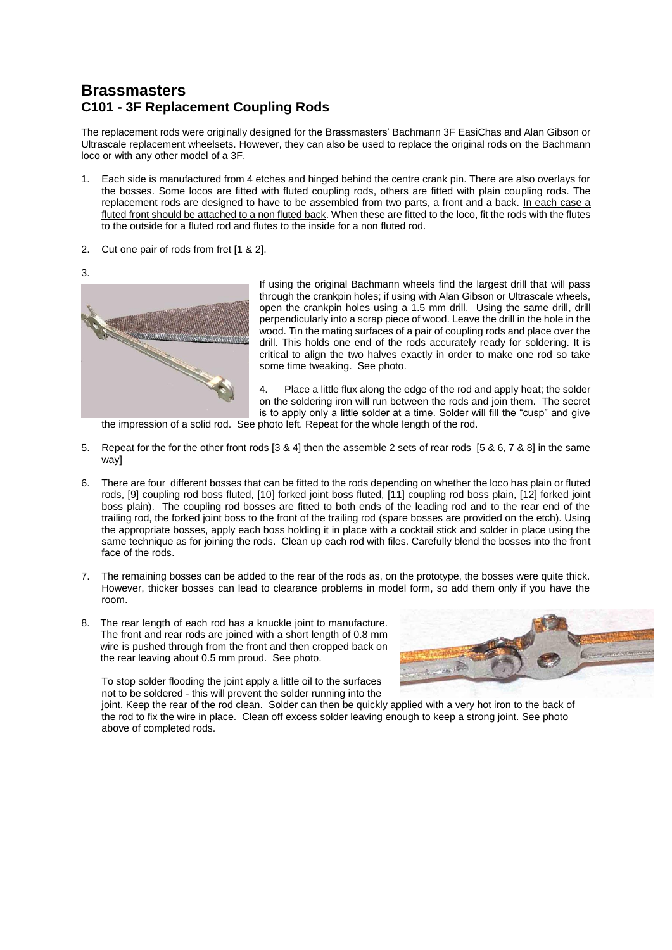## **Brassmasters C101 - 3F Replacement Coupling Rods**

The replacement rods were originally designed for the Brassmasters' Bachmann 3F EasiChas and Alan Gibson or Ultrascale replacement wheelsets. However, they can also be used to replace the original rods on the Bachmann loco or with any other model of a 3F.

- 1. Each side is manufactured from 4 etches and hinged behind the centre crank pin. There are also overlays for the bosses. Some locos are fitted with fluted coupling rods, others are fitted with plain coupling rods. The replacement rods are designed to have to be assembled from two parts, a front and a back. In each case a fluted front should be attached to a non fluted back. When these are fitted to the loco, fit the rods with the flutes to the outside for a fluted rod and flutes to the inside for a non fluted rod.
- 2. Cut one pair of rods from fret [1 & 2].
- 3.



If using the original Bachmann wheels find the largest drill that will pass through the crankpin holes; if using with Alan Gibson or Ultrascale wheels, open the crankpin holes using a 1.5 mm drill. Using the same drill, drill perpendicularly into a scrap piece of wood. Leave the drill in the hole in the wood. Tin the mating surfaces of a pair of coupling rods and place over the drill. This holds one end of the rods accurately ready for soldering. It is critical to align the two halves exactly in order to make one rod so take some time tweaking. See photo.

4. Place a little flux along the edge of the rod and apply heat; the solder on the soldering iron will run between the rods and join them. The secret is to apply only a little solder at a time. Solder will fill the "cusp" and give

the impression of a solid rod. See photo left. Repeat for the whole length of the rod.

- 5. Repeat for the for the other front rods [3 & 4] then the assemble 2 sets of rear rods [5 & 6, 7 & 8] in the same wavl
- 6. There are four different bosses that can be fitted to the rods depending on whether the loco has plain or fluted rods, [9] coupling rod boss fluted, [10] forked joint boss fluted, [11] coupling rod boss plain, [12] forked joint boss plain). The coupling rod bosses are fitted to both ends of the leading rod and to the rear end of the trailing rod, the forked joint boss to the front of the trailing rod (spare bosses are provided on the etch). Using the appropriate bosses, apply each boss holding it in place with a cocktail stick and solder in place using the same technique as for joining the rods. Clean up each rod with files. Carefully blend the bosses into the front face of the rods.
- 7. The remaining bosses can be added to the rear of the rods as, on the prototype, the bosses were quite thick. However, thicker bosses can lead to clearance problems in model form, so add them only if you have the room.
- 8. The rear length of each rod has a knuckle joint to manufacture. The front and rear rods are joined with a short length of 0.8 mm wire is pushed through from the front and then cropped back on the rear leaving about 0.5 mm proud. See photo.

To stop solder flooding the joint apply a little oil to the surfaces not to be soldered - this will prevent the solder running into the

joint. Keep the rear of the rod clean. Solder can then be quickly applied with a very hot iron to the back of the rod to fix the wire in place. Clean off excess solder leaving enough to keep a strong joint. See photo above of completed rods.